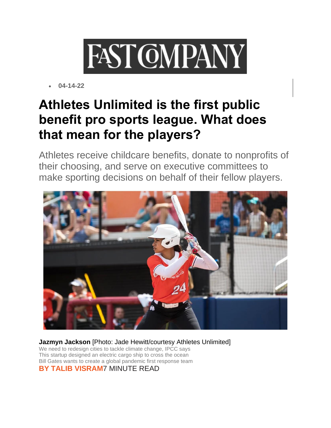

• **04-14-22**

## **[Athletes Unlimited is the first public](https://www.fastcompany.com/90740475/athletes-unlimited-is-the-first-public-benefit-pro-sports-league-what-does-that-mean-for-the-players)  [benefit pro sports league. What does](https://www.fastcompany.com/90740475/athletes-unlimited-is-the-first-public-benefit-pro-sports-league-what-does-that-mean-for-the-players)  [that mean for the players?](https://www.fastcompany.com/90740475/athletes-unlimited-is-the-first-public-benefit-pro-sports-league-what-does-that-mean-for-the-players)**

Athletes receive childcare benefits, donate to nonprofits of their choosing, and serve on executive committees to make sporting decisions on behalf of their fellow players.



**Jazmyn Jackson** [Photo: Jade Hewitt/courtesy Athletes Unlimited] [We need to redesign cities to tackle climate change, IPCC says](https://www.fastcompany.com/90737985/we-need-to-redesign-cities-to-tackle-climate-change-ipcc-says?itm_source=parsely-api&icid=dan902:754:0:editRecirc&evar68=https://www.fastcompany.com/90737985/we-need-to-redesign-cities-to-tackle-climate-change-ipcc-says?itm_source=parsely-api) [This startup designed an electric cargo ship to cross the ocean](https://www.fastcompany.com/90738126/this-startup-designed-an-electric-cargo-ship-to-cross-the-ocean?itm_source=parsely-api&icid=dan902:754:0:editRecirc&evar68=https://www.fastcompany.com/90738126/this-startup-designed-an-electric-cargo-ship-to-cross-the-ocean?itm_source=parsely-api) [Bill Gates wants to create a global pandemic first response team](https://www.fastcompany.com/90740558/bill-gates-wants-to-create-a-global-pandemic-first-response-team?itm_source=parsely-api&icid=dan902:754:0:editRecirc&evar68=https://www.fastcompany.com/90740558/bill-gates-wants-to-create-a-global-pandemic-first-response-team?itm_source=parsely-api) **BY [TALIB VISRAM](https://www.fastcompany.com/user/tvisram)**7 MINUTE READ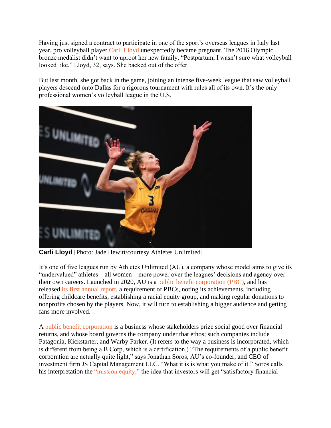Having just signed a contract to participate in one of the sport's overseas leagues in Italy last year, pro volleyball player [Carli Lloyd](https://auprosports.com/volleyball/athletes/carli-lloyd/) unexpectedly became pregnant. The 2016 Olympic bronze medalist didn't want to uproot her new family. "Postpartum, I wasn't sure what volleyball looked like," Lloyd, 32, says. She backed out of the offer.

But last month, she got back in the game, joining an intense five-week league that saw volleyball players descend onto Dallas for a rigorous tournament with rules all of its own. It's the only professional women's volleyball league in the U.S.



**Carli Lloyd** [Photo: Jade Hewitt/courtesy Athletes Unlimited]

It's one of five leagues run by Athletes Unlimited (AU), a company whose model aims to give its "undervalued" athletes—all women—more power over the leagues' decisions and agency over their own careers. Launched in 2020, AU is a [public benefit corporation \(PBC\),](https://auprosports.com/read/athletes-unlimited-establishes-itself-as-first-professional-sports-league-to-organize-as-a-public-benefit-corporation/) and has released [its first annual report,](https://auprosports.com/wp-content/uploads/2022/04/AthletesUnlimited_PBC_Report.pdf) a requirement of PBCs, noting its achievements, including offering childcare benefits, establishing a racial equity group, and making regular donations to nonprofits chosen by the players. Now, it will turn to establishing a bigger audience and getting fans more involved.

A [public benefit corporation](https://www.legalzoom.com/articles/advantages-of-turning-your-business-into-a-public-benefit-corporation) is a business whose stakeholders prize social good over financial returns, and whose board governs the company under that ethos; such companies include Patagonia, Kickstarter, and Warby Parker. (It refers to the way a business is incorporated, which is different from being a B Corp, which is a certification.) "The requirements of a public benefit corporation are actually quite light," says Jonathan Soros, AU's co-founder, and CEO of investment firm JS Capital Management LLC. "What it is is what you make of it." Soros calls his interpretation the ["mission equity,"](https://hbr.org/2021/04/a-new-way-to-scale-social-enterprise) the idea that investors will get "satisfactory financial"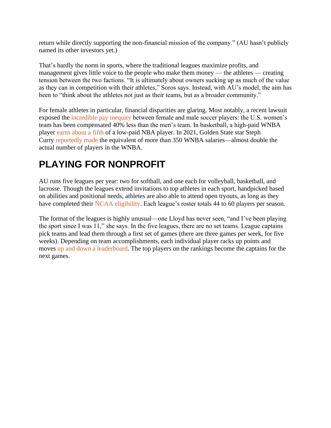return while directly supporting the non-financial mission of the company." (AU hasn't publicly named its other investors yet.)

That's hardly the norm in sports, where the traditional leagues maximize profits, and management gives little voice to the people who make them money — the athletes — creating tension between the two factions. "It is ultimately about owners sucking up as much of the value as they can in competition with their athletes," Soros says. Instead, with AU's model, the aim has been to "think about the athletes not just as their teams, but as a broader community."

For female athletes in particular, financial disparities are glaring. Most notably, a recent lawsuit exposed the [incredible pay inequity](https://www.eckerd.edu/news/blog/womens-soccer-compensation-gender-inequities/) between female and male soccer players: the U.S. women's team has been compensated 40% less than the men's team. In basketball, a high-paid WNBA player [earns about a fifth](https://www.forbes.com/sites/andrewbrennan/2016/05/05/the-pay-discrimination-in-sports-we-wish-didnt-exist-will-only-dissipate-with-womens-leadership/?sh=47a043fe7919) of a low-paid NBA player. In 2021, Golden State star Steph Curry [reportedly made](https://onherturf.nbcsports.com/2021/03/24/equal-pay-day-women-sports-gender-pay-gap/) the equivalent of more than 350 WNBA salaries—almost double the actual number of players in the WNBA.

## **PLAYING FOR NONPROFIT**

AU runs five leagues per year: two for softball, and one each for volleyball, basketball, and lacrosse. Though the leagues extend invitations to top athletes in each sport, handpicked based on abilities and positional needs, athletes are also able to attend open tryouts, as long as they have completed their [NCAA eligibility.](https://auprosports.com/eligibility/) Each league's roster totals 44 to 60 players per season.

The format of the leagues is highly unusual—one Lloyd has never seen, "and I've been playing the sport since I was 11," she says. In the five leagues, there are no set teams. League captains pick teams and lead them through a first set of games (there are three games per week, for five weeks). Depending on team accomplishments, each individual player racks up points and moves [up and down a leaderboard.](https://auprosports.com/leaderboard/?season=11) The top players on the rankings become the captains for the next games.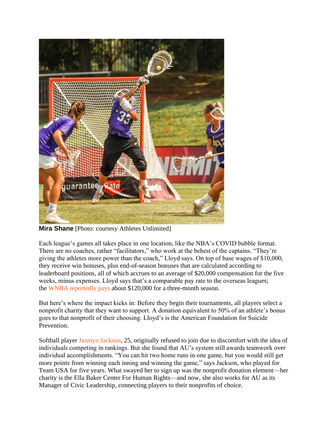

**Mira Shane** [Photo: courtesy Athletes Unlimited]

Each league's games all takes place in one location, like the NBA's COVID bubble format. There are no coaches, rather "facilitators," who work at the behest of the captains. "They're giving the athletes more power than the coach," Lloyd says. On top of base wages of \$10,000, they receive win bonuses, plus end-of-season bonuses that are calculated according to leaderboard positions, all of which accrues to an average of \$20,000 compensation for the five weeks, minus expenses. Lloyd says that's a comparable pay rate to the overseas leagues; the [WNBA reportedly pays](https://en.as.com/en/2022/03/07/nba/1646670568_887248.html#:~:text=According%20to%20Yahoo%20Finance%2C%20the,players%2C%20Brittney%20Griner%20among%20them.) about \$120,000 for a three-month season.

But here's where the impact kicks in: Before they begin their tournaments, all players select a nonprofit charity that they want to support. A donation equivalent to 50% of an athlete's bonus goes to that nonprofit of their choosing. Lloyd's is the American Foundation for Suicide Prevention.

Softball player [Jazmyn Jackson,](https://auprosports.com/softball/athletes/jazmyn-jackson/) 25, originally refused to join due to discomfort with the idea of individuals competing in rankings. But she found that AU's system still awards teamwork over individual accomplishments. "You can hit two home runs in one game, but you would still get more points from winning each inning and winning the game," says Jackson, who played for Team USA for five years. What swayed her to sign up was the nonprofit donation element—her charity is the Ella Baker Center For Human Rights—and now, she also works for AU as its Manager of Civic Leadership, connecting players to their nonprofits of choice.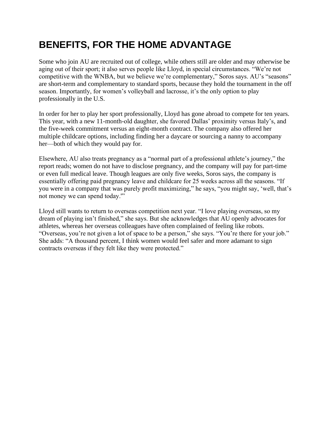## **BENEFITS, FOR THE HOME ADVANTAGE**

Some who join AU are recruited out of college, while others still are older and may otherwise be aging out of their sport; it also serves people like Lloyd, in special circumstances. "We're not competitive with the WNBA, but we believe we're complementary," Soros says. AU's "seasons" are short-term and complementary to standard sports, because they hold the tournament in the off season. Importantly, for women's volleyball and lacrosse, it's the only option to play professionally in the U.S.

In order for her to play her sport professionally, Lloyd has gone abroad to compete for ten years. This year, with a new 11-month-old daughter, she favored Dallas' proximity versus Italy's, and the five-week commitment versus an eight-month contract. The company also offered her multiple childcare options, including finding her a daycare or sourcing a nanny to accompany her—both of which they would pay for.

Elsewhere, AU also treats pregnancy as a "normal part of a professional athlete's journey," the report reads; women do not have to disclose pregnancy, and the company will pay for part-time or even full medical leave. Though leagues are only five weeks, Soros says, the company is essentially offering paid pregnancy leave and childcare for 25 weeks across all the seasons. "If you were in a company that was purely profit maximizing," he says, "you might say, 'well, that's not money we can spend today.'"

Lloyd still wants to return to overseas competition next year. "I love playing overseas, so my dream of playing isn't finished," she says. But she acknowledges that AU openly advocates for athletes, whereas her overseas colleagues have often complained of feeling like robots. "Overseas, you're not given a lot of space to be a person," she says. "You're there for your job." She adds: "A thousand percent, I think women would feel safer and more adamant to sign contracts overseas if they felt like they were protected."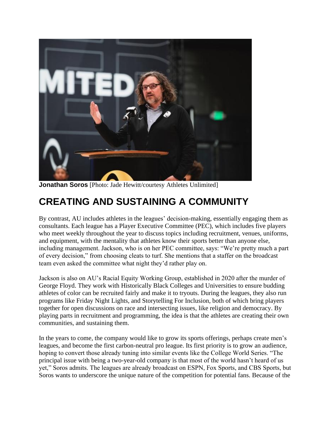

**Jonathan Soros** [Photo: Jade Hewitt/courtesy Athletes Unlimited]

## **CREATING AND SUSTAINING A COMMUNITY**

By contrast, AU includes athletes in the leagues' decision-making, essentially engaging them as consultants. Each league has a Player Executive Committee (PEC), which includes five players who meet weekly throughout the year to discuss topics including recruitment, venues, uniforms, and equipment, with the mentality that athletes know their sports better than anyone else, including management. Jackson, who is on her PEC committee, says: "We're pretty much a part of every decision," from choosing cleats to turf. She mentions that a staffer on the broadcast team even asked the committee what night they'd rather play on.

Jackson is also on AU's Racial Equity Working Group, established in 2020 after the murder of George Floyd. They work with Historically Black Colleges and Universities to ensure budding athletes of color can be recruited fairly and make it to tryouts. During the leagues, they also run programs like Friday Night Lights, and Storytelling For Inclusion, both of which bring players together for open discussions on race and intersecting issues, like religion and democracy. By playing parts in recruitment and programming, the idea is that the athletes are creating their own communities, and sustaining them.

In the years to come, the company would like to grow its sports offerings, perhaps create men's leagues, and become the first carbon-neutral pro league. Its first priority is to grow an audience, hoping to convert those already tuning into similar events like the College World Series. "The principal issue with being a two-year-old company is that most of the world hasn't heard of us yet," Soros admits. The leagues are already broadcast on ESPN, Fox Sports, and CBS Sports, but Soros wants to underscore the unique nature of the competition for potential fans. Because of the